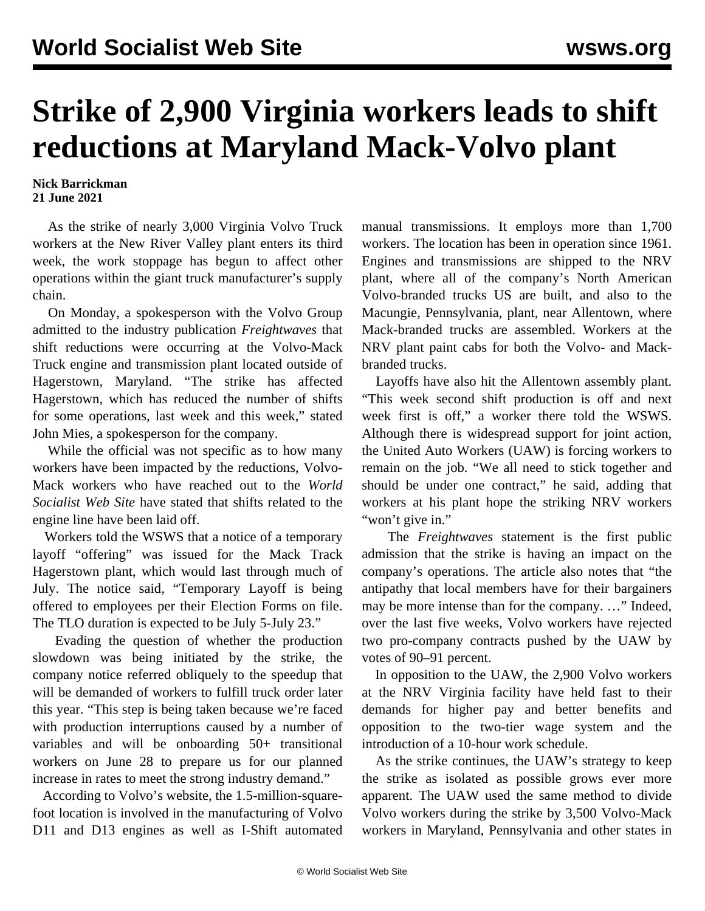## **Strike of 2,900 Virginia workers leads to shift reductions at Maryland Mack-Volvo plant**

**Nick Barrickman 21 June 2021**

 As the strike of nearly 3,000 Virginia Volvo Truck workers at the New River Valley plant enters its third week, the work stoppage has begun to affect other operations within the giant truck manufacturer's supply chain.

 On Monday, a spokesperson with the Volvo Group admitted to the industry publication *Freightwaves* that shift reductions were occurring at the Volvo-Mack Truck engine and transmission plant located outside of Hagerstown, Maryland. "The strike has affected Hagerstown, which has reduced the number of shifts for some operations, last week and this week," stated John Mies, a spokesperson for the company.

 While the official was not specific as to how many workers have been impacted by the reductions, Volvo-Mack workers who have reached out to the *World Socialist Web Site* have stated that shifts related to the engine line have been laid off.

 Workers told the WSWS that a notice of a temporary layoff "offering" was issued for the Mack Track Hagerstown plant, which would last through much of July. The notice said, "Temporary Layoff is being offered to employees per their Election Forms on file. The TLO duration is expected to be July 5-July 23."

 Evading the question of whether the production slowdown was being initiated by the strike, the company notice referred obliquely to the speedup that will be demanded of workers to fulfill truck order later this year. "This step is being taken because we're faced with production interruptions caused by a number of variables and will be onboarding 50+ transitional workers on June 28 to prepare us for our planned increase in rates to meet the strong industry demand."

 According to Volvo's website, the 1.5-million-squarefoot location is involved in the manufacturing of Volvo D11 and D13 engines as well as I-Shift automated manual transmissions. It employs more than 1,700 workers. The location has been in operation since 1961. Engines and transmissions are shipped to the NRV plant, where all of the company's North American Volvo-branded trucks US are built, and also to the Macungie, Pennsylvania, plant, near Allentown, where Mack-branded trucks are assembled. Workers at the NRV plant paint cabs for both the Volvo- and Mackbranded trucks.

 Layoffs have also hit the Allentown assembly plant. "This week second shift production is off and next week first is off," a worker there told the WSWS. Although there is widespread support for joint action, the United Auto Workers (UAW) is forcing workers to remain on the job. "We all need to stick together and should be under one contract," he said, adding that workers at his plant hope the striking NRV workers "won't give in."

 The *Freightwaves* statement is the first public admission that the strike is having an impact on the company's operations. The article also notes that "the antipathy that local members have for their bargainers may be more intense than for the company. …" Indeed, over the last five weeks, Volvo workers have rejected two pro-company contracts pushed by the UAW by votes of 90–91 percent.

 In opposition to the UAW, the 2,900 Volvo workers at the NRV Virginia facility have held fast to their demands for higher pay and better benefits and opposition to the two-tier wage system and the introduction of a 10-hour work schedule.

 As the strike continues, the UAW's strategy to keep the strike as isolated as possible grows ever more apparent. The UAW used the same method to divide Volvo workers during the strike by 3,500 Volvo-Mack workers in Maryland, Pennsylvania and other states in